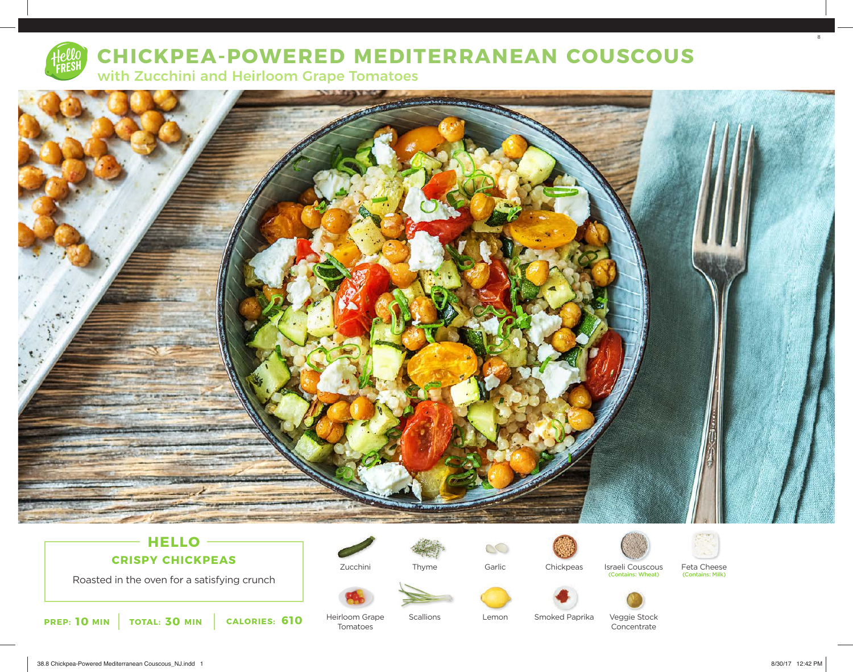

# **CHICKPEA-POWERED MEDITERRANEAN COUSCOUS**

with Zucchini and Heirloom Grape Tomatoes



## **HELLO CRISPY CHICKPEAS**

Roasted in the oven for a satisfying crunch



Zucchini

Heirloom Grape Tomatoes



**Scallions** 



Lemon

**Chickpeas** 





(Contains: Wheat)



Feta Cheese<br>(Contains: Milk)



Smoked Paprika Veggie Stock Concentrate

38.8 Chickpea-Powered Mediterranean Couscous\_NJ.indd 1 8/30/17 12:42 PM

8